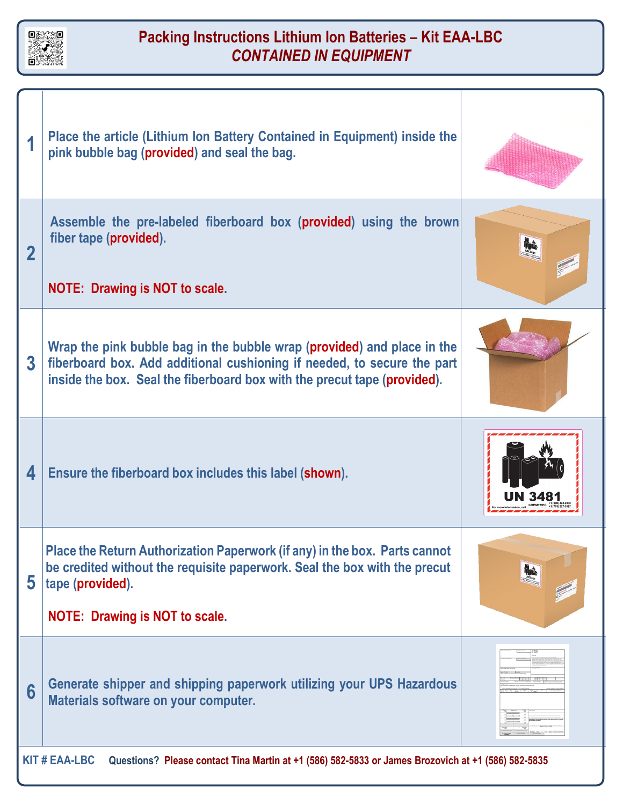

## **Packing Instructions Lithium Ion Batteries – Kit EAA-LBC** *CONTAINED IN EQUIPMENT*

|                                                                                                                            | Place the article (Lithium Ion Battery Contained in Equipment) inside the<br>pink bubble bag (provided) and seal the bag.                                                                                                      |  |
|----------------------------------------------------------------------------------------------------------------------------|--------------------------------------------------------------------------------------------------------------------------------------------------------------------------------------------------------------------------------|--|
| $\mathbf 2$                                                                                                                | Assemble the pre-labeled fiberboard box (provided) using the brown<br>fiber tape (provided).<br><b>NOTE: Drawing is NOT to scale.</b>                                                                                          |  |
| 3                                                                                                                          | Wrap the pink bubble bag in the bubble wrap (provided) and place in the<br>fiberboard box. Add additional cushioning if needed, to secure the part<br>inside the box. Seal the fiberboard box with the precut tape (provided). |  |
| 4                                                                                                                          | Ensure the fiberboard box includes this label (shown).                                                                                                                                                                         |  |
| 5                                                                                                                          | Place the Return Authorization Paperwork (if any) in the box. Parts cannot<br>be credited without the requisite paperwork. Seal the box with the precut<br>tape (provided).<br><b>NOTE: Drawing is NOT to scale.</b>           |  |
| 6                                                                                                                          | Generate shipper and shipping paperwork utilizing your UPS Hazardous<br>Materials software on your computer.                                                                                                                   |  |
| <b>KIT # EAA-LBC</b><br>Questions? Please contact Tina Martin at +1 (586) 582-5833 or James Brozovich at +1 (586) 582-5835 |                                                                                                                                                                                                                                |  |